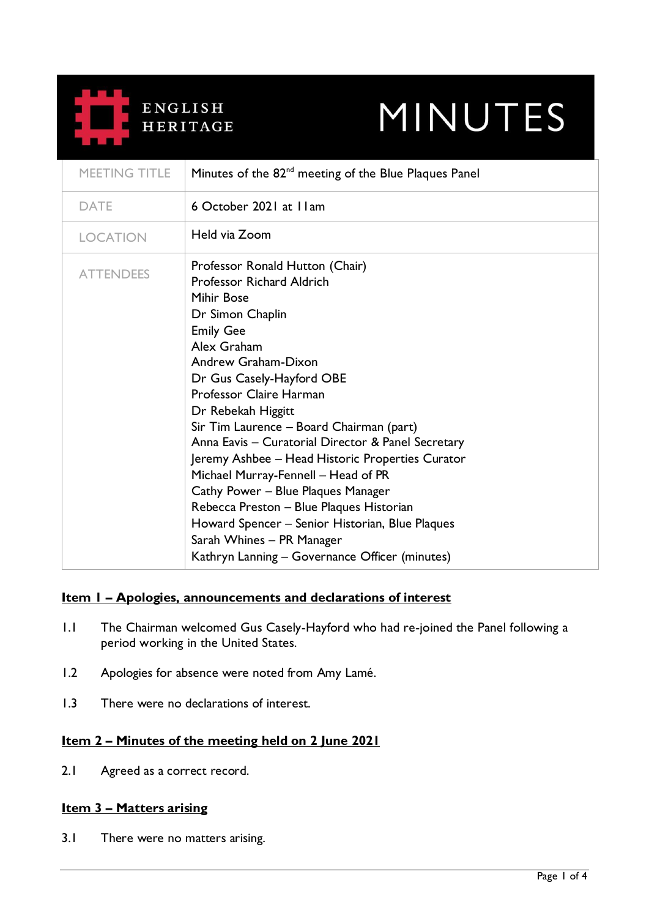

# MINUTES

| MEETING TITLE    | Minutes of the 82 <sup>nd</sup> meeting of the Blue Plaques Panel                                                                                                                                                                                                                                                                                                                                                                                                                                                                                                                                                                                              |
|------------------|----------------------------------------------------------------------------------------------------------------------------------------------------------------------------------------------------------------------------------------------------------------------------------------------------------------------------------------------------------------------------------------------------------------------------------------------------------------------------------------------------------------------------------------------------------------------------------------------------------------------------------------------------------------|
| <b>DATE</b>      | 6 October 2021 at 11am                                                                                                                                                                                                                                                                                                                                                                                                                                                                                                                                                                                                                                         |
| <b>LOCATION</b>  | Held via Zoom                                                                                                                                                                                                                                                                                                                                                                                                                                                                                                                                                                                                                                                  |
| <b>ATTENDEES</b> | Professor Ronald Hutton (Chair)<br>Professor Richard Aldrich<br><b>Mihir Bose</b><br>Dr Simon Chaplin<br><b>Emily Gee</b><br>Alex Graham<br>Andrew Graham-Dixon<br>Dr Gus Casely-Hayford OBE<br>Professor Claire Harman<br>Dr Rebekah Higgitt<br>Sir Tim Laurence - Board Chairman (part)<br>Anna Eavis - Curatorial Director & Panel Secretary<br>Jeremy Ashbee - Head Historic Properties Curator<br>Michael Murray-Fennell - Head of PR<br>Cathy Power - Blue Plaques Manager<br>Rebecca Preston - Blue Plaques Historian<br>Howard Spencer - Senior Historian, Blue Plaques<br>Sarah Whines - PR Manager<br>Kathryn Lanning – Governance Officer (minutes) |

## **Item 1 – Apologies, announcements and declarations of interest**

- 1.1 The Chairman welcomed Gus Casely-Hayford who had re-joined the Panel following a period working in the United States.
- 1.2 Apologies for absence were noted from Amy Lamé.
- 1.3 There were no declarations of interest.

## **Item 2 – Minutes of the meeting held on 2 June 2021**

2.1 Agreed as a correct record.

## **Item 3 – Matters arising**

3.1 There were no matters arising.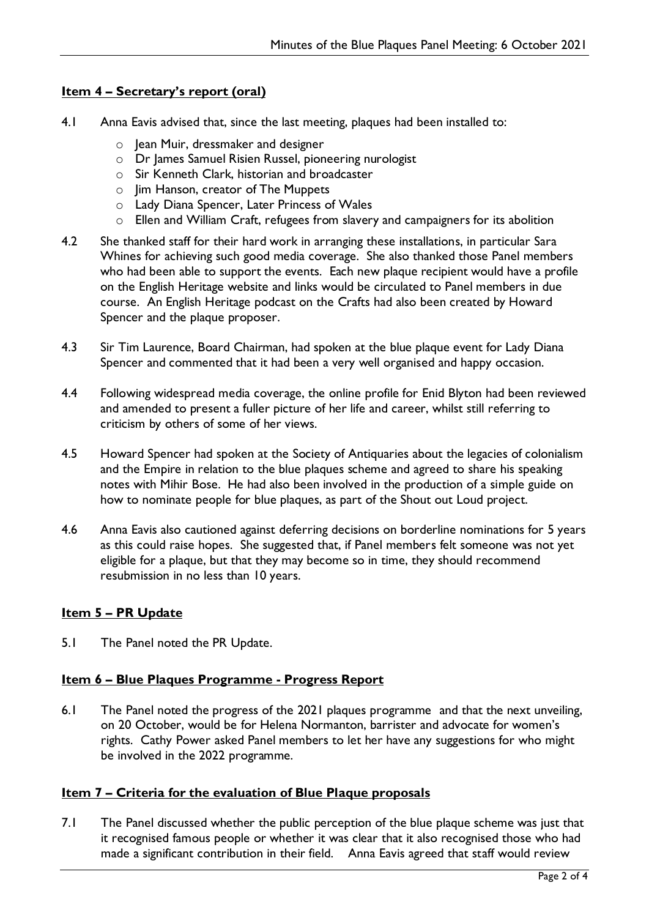### **Item 4 – Secretary's report (oral)**

- 4.1 Anna Eavis advised that, since the last meeting, plaques had been installed to:
	- $\circ$  Jean Muir, dressmaker and designer
	- o Dr James Samuel Risien Russel, pioneering nurologist
	- o Sir Kenneth Clark, historian and broadcaster
	- o Jim Hanson, creator of The Muppets
	- o Lady Diana Spencer, Later Princess of Wales
	- o Ellen and William Craft, refugees from slavery and campaigners for its abolition
- 4.2 She thanked staff for their hard work in arranging these installations, in particular Sara Whines for achieving such good media coverage. She also thanked those Panel members who had been able to support the events. Each new plaque recipient would have a profile on the English Heritage website and links would be circulated to Panel members in due course. An English Heritage podcast on the Crafts had also been created by Howard Spencer and the plaque proposer.
- 4.3 Sir Tim Laurence, Board Chairman, had spoken at the blue plaque event for Lady Diana Spencer and commented that it had been a very well organised and happy occasion.
- 4.4 Following widespread media coverage, the online profile for Enid Blyton had been reviewed and amended to present a fuller picture of her life and career, whilst still referring to criticism by others of some of her views.
- 4.5 Howard Spencer had spoken at the Society of Antiquaries about the legacies of colonialism and the Empire in relation to the blue plaques scheme and agreed to share his speaking notes with Mihir Bose. He had also been involved in the production of a simple guide on how to nominate people for blue plaques, as part of the Shout out Loud project.
- 4.6 Anna Eavis also cautioned against deferring decisions on borderline nominations for 5 years as this could raise hopes. She suggested that, if Panel members felt someone was not yet eligible for a plaque, but that they may become so in time, they should recommend resubmission in no less than 10 years.

## **Item 5 – PR Update**

5.1 The Panel noted the PR Update.

#### **Item 6 – Blue Plaques Programme - Progress Report**

6.1 The Panel noted the progress of the 2021 plaques programme and that the next unveiling, on 20 October, would be for Helena Normanton, barrister and advocate for women's rights. Cathy Power asked Panel members to let her have any suggestions for who might be involved in the 2022 programme.

## **Item 7 – Criteria for the evaluation of Blue Plaque proposals**

7.1 The Panel discussed whether the public perception of the blue plaque scheme was just that it recognised famous people or whether it was clear that it also recognised those who had made a significant contribution in their field. Anna Eavis agreed that staff would review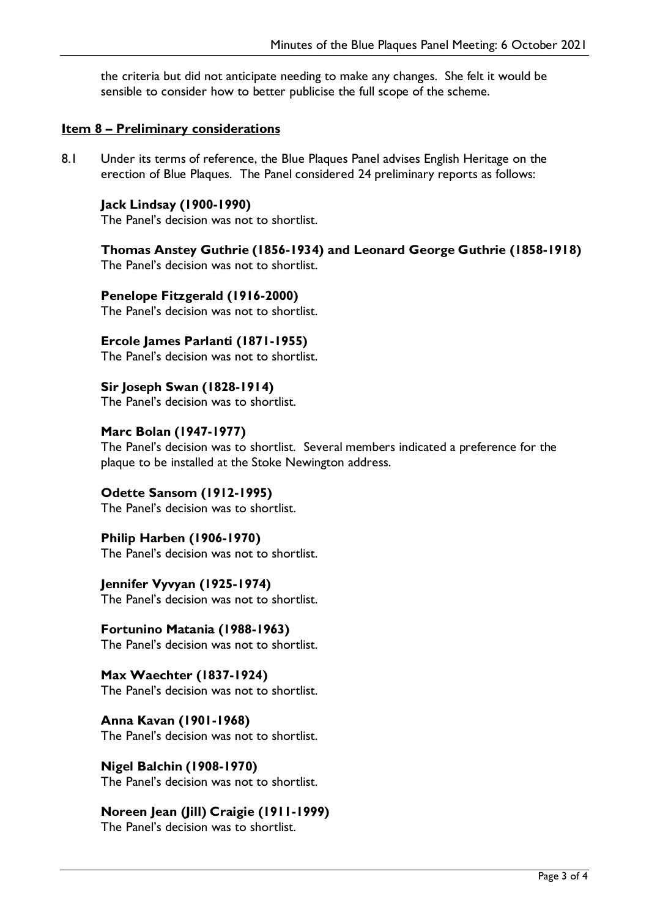the criteria but did not anticipate needing to make any changes. She felt it would be sensible to consider how to better publicise the full scope of the scheme.

#### **Item 8 – Preliminary considerations**

8.1 Under its terms of reference, the Blue Plaques Panel advises English Heritage on the erection of Blue Plaques. The Panel considered 24 preliminary reports as follows:

#### **Jack Lindsay (1900-1990)**

The Panel's decision was not to shortlist.

**Thomas Anstey Guthrie (1856-1934) and Leonard George Guthrie (1858-1918)**

The Panel's decision was not to shortlist.

**Penelope Fitzgerald (1916-2000)**

The Panel's decision was not to shortlist.

## **Ercole James Parlanti (1871-1955)**

The Panel's decision was not to shortlist.

**Sir Joseph Swan (1828-1914)** The Panel's decision was to shortlist.

#### **Marc Bolan (1947-1977)**

The Panel's decision was to shortlist. Several members indicated a preference for the plaque to be installed at the Stoke Newington address.

#### **Odette Sansom (1912-1995)**

The Panel's decision was to shortlist.

#### **Philip Harben (1906-1970)**

The Panel's decision was not to shortlist.

**Jennifer Vyvyan (1925-1974)** The Panel's decision was not to shortlist.

**Fortunino Matania (1988-1963)** The Panel's decision was not to shortlist.

**Max Waechter (1837-1924)** The Panel's decision was not to shortlist.

**Anna Kavan (1901-1968)** The Panel's decision was not to shortlist.

## **Nigel Balchin (1908-1970)**

The Panel's decision was not to shortlist.

## **Noreen Jean (Jill) Craigie (1911-1999)**

The Panel's decision was to shortlist.